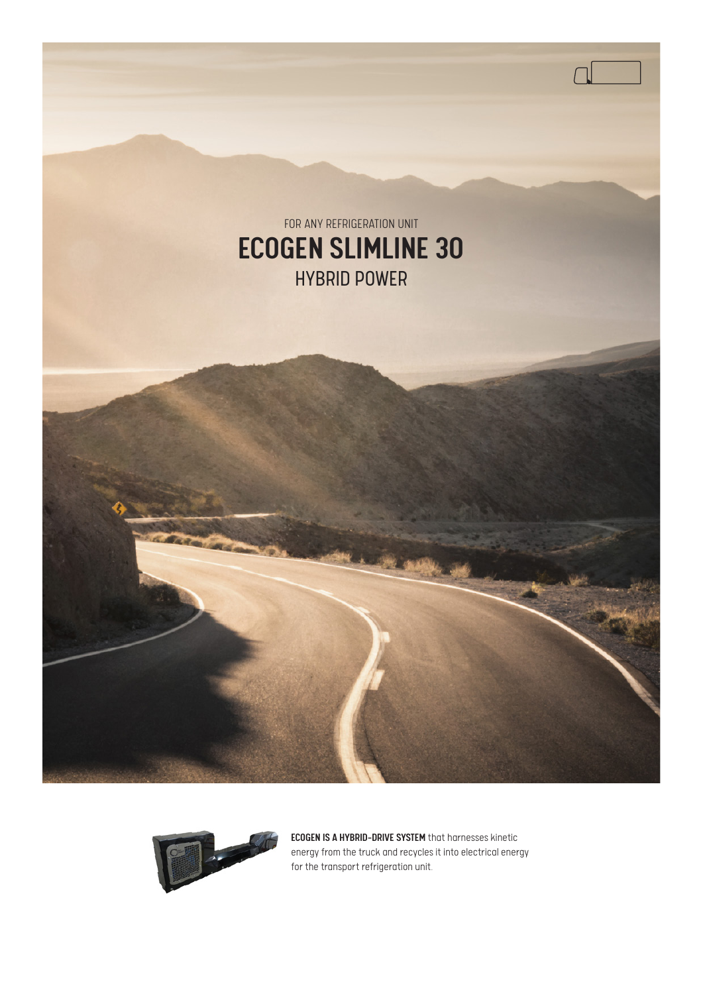



ECOGEN IS A HYBRID-DRIVE SYSTEM that harnesses kinetic energy from the truck and recycles it into electrical energy for the transport refrigeration unit.